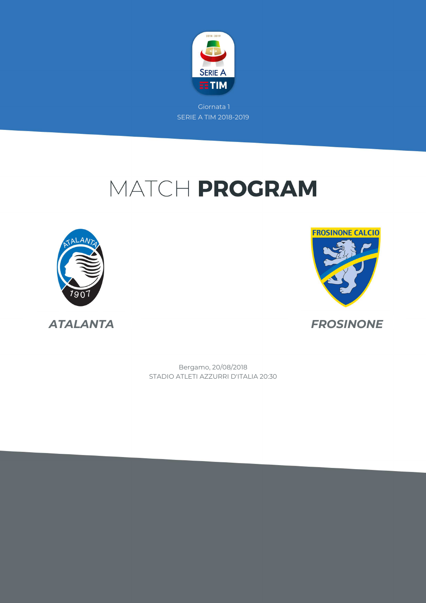

# MATCH PROGRAM





STADIO ATLETI AZZURRI D'ITALIA 20:30 Bergamo, 20/08/2018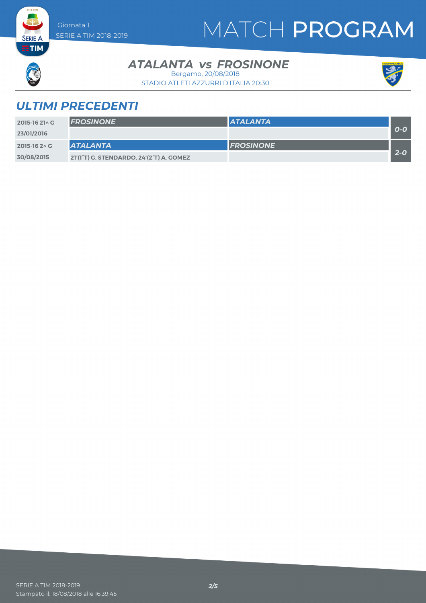# MATCH PROGRAM



**SERIE A ETIM** 

#### **ATALANTA** *vs* FROSINONE

STADIO ATLETI AZZURRI D'ITALIA 20:30 Bergamo, 20/08/2018



### *ULTIMI PRECEDENTI*

| 2015-16 21^ G | <b>FROSINONE</b>                         | <b>ATALANTA</b>   |         |
|---------------|------------------------------------------|-------------------|---------|
| 23/01/2016    |                                          |                   | $O-O$   |
| 2015-16 2 \ C | <b>ATALANTA</b>                          | <b>IFROSINONE</b> |         |
| 30/08/2015    | 21'(1°T) G. STENDARDO, 24'(2°T) A. GOMEZ |                   | $2 - 0$ |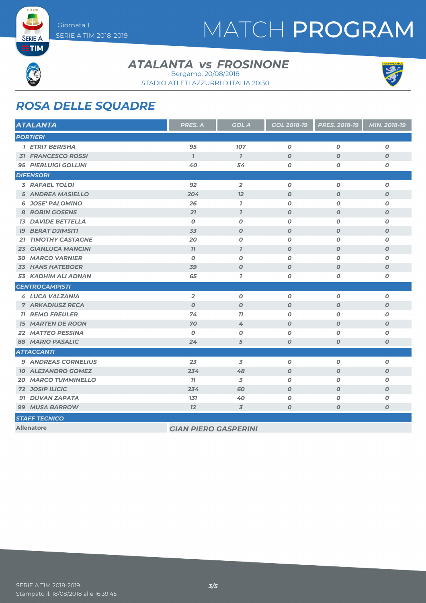# MATCH PROGRAM



**SERIE A ETIM** 

### **ATALANTA** *vs* FROSINONE

STADIO ATLETI AZZURRI D'ITALIA 20:30 Bergamo, 20/08/2018



### *ROSA DELLE SQUADRE*

| <b>ATALANTA</b>               | PRES. A                     | <b>GOL A</b>     | GOL 2018-19      | PRES. 2018-19    | MIN. 2018-19     |
|-------------------------------|-----------------------------|------------------|------------------|------------------|------------------|
| <b>PORTIERI</b>               |                             |                  |                  |                  |                  |
| 1 ETRIT BERISHA               | 95                          | 107              | $\boldsymbol{o}$ | $\boldsymbol{o}$ | $\boldsymbol{o}$ |
| <b>31 FRANCESCO ROSSI</b>     | $\overline{1}$              | $\mathbf{7}$     | $\boldsymbol{O}$ | $\boldsymbol{O}$ | $\boldsymbol{O}$ |
| <b>95 PIERLUIGI GOLLINI</b>   | 40                          | 54               | 0                | 0                | O                |
| <b>DIFENSORI</b>              |                             |                  |                  |                  |                  |
| <b>3 RAFAEL TOLOI</b>         | 92                          | $\overline{2}$   | $\boldsymbol{0}$ | $\boldsymbol{o}$ | $\boldsymbol{o}$ |
| <b>5 ANDREA MASIELLO</b>      | 204                         | 12               | $\boldsymbol{O}$ | $\boldsymbol{o}$ | $\boldsymbol{o}$ |
| <b>6 JOSE' PALOMINO</b>       | 26                          | $\mathbf{I}$     | $\boldsymbol{o}$ | $\boldsymbol{O}$ | $\pmb{o}$        |
| 8 ROBIN GOSENS                | 21                          | $\overline{I}$   | $\boldsymbol{O}$ | $\boldsymbol{O}$ | $\boldsymbol{o}$ |
| <b>13 DAVIDE BETTELLA</b>     | $\boldsymbol{0}$            | $\boldsymbol{O}$ | $\boldsymbol{o}$ | $\boldsymbol{0}$ | $\boldsymbol{o}$ |
| <b>19 BERAT DJIMSITI</b>      | 33                          | $\boldsymbol{O}$ | $\boldsymbol{0}$ | $\boldsymbol{O}$ | $\boldsymbol{O}$ |
| <b>TIMOTHY CASTAGNE</b><br>21 | 20                          | O                | $\boldsymbol{0}$ | $\boldsymbol{O}$ | $\boldsymbol{o}$ |
| <b>GIANLUCA MANCINI</b><br>23 | 77                          | $\overline{1}$   | $\boldsymbol{O}$ | $\boldsymbol{O}$ | $\boldsymbol{o}$ |
| <b>30 MARCO VARNIER</b>       | $\boldsymbol{O}$            | $\boldsymbol{O}$ | $\boldsymbol{o}$ | $\boldsymbol{O}$ | $\boldsymbol{o}$ |
| <b>33 HANS HATEBOER</b>       | 39                          | $\boldsymbol{O}$ | $\boldsymbol{O}$ | $\boldsymbol{O}$ | $\boldsymbol{O}$ |
| 53 KADHIM ALI ADNAN           | 65                          | $\mathbf{7}$     | 0                | $\boldsymbol{o}$ | $\pmb{o}$        |
| <b>CENTROCAMPISTI</b>         |                             |                  |                  |                  |                  |
| 4 LUCA VALZANIA               | $\overline{2}$              | $\boldsymbol{0}$ | 0                | $\boldsymbol{O}$ | 0                |
| <b>7 ARKADIUSZ RECA</b>       | $\boldsymbol{O}$            | $\boldsymbol{O}$ | $\boldsymbol{O}$ | $\boldsymbol{O}$ | $\boldsymbol{o}$ |
| <b>11 REMO FREULER</b>        | 74                          | 77               | $\boldsymbol{o}$ | $\boldsymbol{O}$ | $\boldsymbol{o}$ |
| <b>15 MARTEN DE ROON</b>      | 70                          | 4                | $\boldsymbol{O}$ | $\boldsymbol{O}$ | $\boldsymbol{O}$ |
| <b>22 MATTEO PESSINA</b>      | $\boldsymbol{0}$            | 0                | 0                | $\boldsymbol{0}$ | 0                |
| <b>88 MARIO PASALIC</b>       | 24                          | 5                | $\boldsymbol{O}$ | $\boldsymbol{O}$ | $\boldsymbol{o}$ |
| <b>ATTACCANTI</b>             |                             |                  |                  |                  |                  |
| <b>9 ANDREAS CORNELIUS</b>    | 23                          | 3                | $\overline{o}$   | $\boldsymbol{O}$ | $\pmb{o}$        |
| <b>10 ALEJANDRO GOMEZ</b>     | 234                         | 48               | $\boldsymbol{O}$ | $\boldsymbol{O}$ | $\boldsymbol{o}$ |
| <b>20 MARCO TUMMINELLO</b>    | 77                          | 3                | $\boldsymbol{o}$ | $\boldsymbol{O}$ | $\boldsymbol{o}$ |
| <b>72 JOSIP ILICIC</b>        | 234                         | 60               | $\boldsymbol{0}$ | $\boldsymbol{O}$ | $\boldsymbol{O}$ |
| 91 DUVAN ZAPATA               | 131                         | 40               | 0                | $\boldsymbol{O}$ | $\boldsymbol{o}$ |
| <b>99 MUSA BARROW</b>         | 12                          | 3                | $\boldsymbol{O}$ | 0                | 0                |
| <b>STAFF TECNICO</b>          |                             |                  |                  |                  |                  |
| <b>Allenatore</b>             | <b>GIAN PIERO GASPERINI</b> |                  |                  |                  |                  |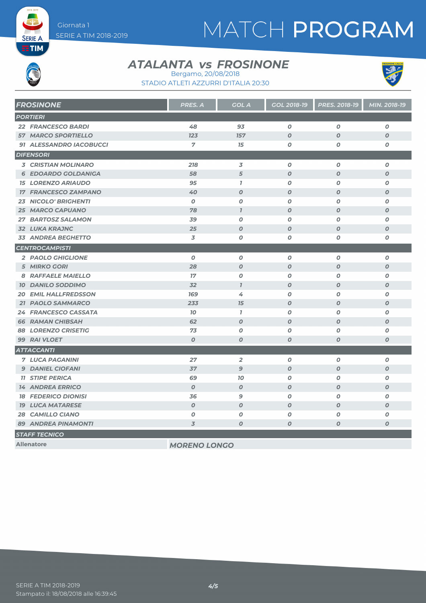# MATCH PROGRAM

**SERIE A ETIM** 

#### **ATALANTA** *vs* FROSINONE



STADIO ATLETI AZZURRI D'ITALIA 20:30 Bergamo, 20/08/2018

| <b>FROSINONE</b>            | PRES. A          | <b>GOL A</b>     | GOL 2018-19      | PRES. 2018-19    | MIN. 2018-19     |
|-----------------------------|------------------|------------------|------------------|------------------|------------------|
| <b>PORTIERI</b>             |                  |                  |                  |                  |                  |
| <b>22 FRANCESCO BARDI</b>   | 48               | 93               | $\boldsymbol{O}$ | $\boldsymbol{O}$ | 0                |
| <b>57 MARCO SPORTIELLO</b>  | 123              | 157              | $\boldsymbol{O}$ | $\boldsymbol{O}$ | $\boldsymbol{O}$ |
| 91 ALESSANDRO IACOBUCCI     | 7                | 15               | $\boldsymbol{o}$ | O                | $\pmb{o}$        |
| <b>DIFENSORI</b>            |                  |                  |                  |                  |                  |
| <b>3 CRISTIAN MOLINARO</b>  | 218              | $\overline{3}$   | $\boldsymbol{o}$ | $\boldsymbol{O}$ | 0                |
| <b>6 EDOARDO GOLDANIGA</b>  | 58               | 5                | $\boldsymbol{O}$ | $\boldsymbol{O}$ | $\boldsymbol{O}$ |
| <b>15 LORENZO ARIAUDO</b>   | 95               | $\mathbf{I}$     | $\boldsymbol{o}$ | $\boldsymbol{O}$ | $\boldsymbol{o}$ |
| <b>17 FRANCESCO ZAMPANO</b> | 40               | $\boldsymbol{O}$ | $\boldsymbol{O}$ | $\boldsymbol{O}$ | $\boldsymbol{O}$ |
| 23 NICOLO' BRIGHENTI        | $\boldsymbol{0}$ | $\boldsymbol{O}$ | $\boldsymbol{o}$ | O                | O                |
| <b>25 MARCO CAPUANO</b>     | 78               | $\mathcal{I}$    | $\boldsymbol{O}$ | $\boldsymbol{0}$ | $\boldsymbol{O}$ |
| 27 BARTOSZ SALAMON          | 39               | $\boldsymbol{O}$ | $\boldsymbol{o}$ | $\boldsymbol{O}$ | $\boldsymbol{o}$ |
| <b>32 LUKA KRAJNC</b>       | 25               | $\boldsymbol{O}$ | $\boldsymbol{O}$ | $\boldsymbol{O}$ | $\boldsymbol{O}$ |
| <b>33 ANDREA BEGHETTO</b>   | 3                | O                | O                | O                | O                |
| <b>CENTROCAMPISTI</b>       |                  |                  |                  |                  |                  |
| 2 PAOLO GHIGLIONE           | $\boldsymbol{0}$ | $\boldsymbol{0}$ | $\boldsymbol{O}$ | $\boldsymbol{0}$ | $\boldsymbol{0}$ |
| <b>5 MIRKO GORI</b>         | 28               | $\boldsymbol{O}$ | $\boldsymbol{O}$ | $\boldsymbol{O}$ | $\boldsymbol{O}$ |
| 8 RAFFAELE MAIELLO          | 17               | $\boldsymbol{o}$ | $\boldsymbol{0}$ | $\boldsymbol{O}$ | $\boldsymbol{o}$ |
| <b>10 DANILO SODDIMO</b>    | 32               | $\mathbf{I}$     | $\boldsymbol{O}$ | $\boldsymbol{O}$ | $\boldsymbol{O}$ |
| <b>20 EMIL HALLFREDSSON</b> | 169              | 4                | $\boldsymbol{O}$ | $\boldsymbol{0}$ | $\boldsymbol{O}$ |
| 21 PAOLO SAMMARCO           | 233              | 75               | $\boldsymbol{O}$ | $\boldsymbol{O}$ | $\boldsymbol{O}$ |
| 24 FRANCESCO CASSATA        | 70               | $\mathbf{7}$     | $\boldsymbol{o}$ | $\boldsymbol{O}$ | $\boldsymbol{o}$ |
| <b>66 RAMAN CHIBSAH</b>     | 62               | $\boldsymbol{O}$ | $\boldsymbol{O}$ | $\boldsymbol{O}$ | $\boldsymbol{O}$ |
| <b>88 LORENZO CRISETIG</b>  | 73               | $\boldsymbol{O}$ | 0                | $\boldsymbol{O}$ | $\boldsymbol{O}$ |
| 99 RAI VLOET                | $\boldsymbol{O}$ | $\boldsymbol{O}$ | $\boldsymbol{O}$ | $\boldsymbol{O}$ | $\boldsymbol{O}$ |
| <b>ATTACCANTI</b>           |                  |                  |                  |                  |                  |
| <b>7 LUCA PAGANINI</b>      | 27               | $\overline{2}$   | $\boldsymbol{o}$ | $\boldsymbol{O}$ | $\boldsymbol{o}$ |
| <b>9 DANIEL CIOFANI</b>     | 37               | $\mathbf{9}$     | $\boldsymbol{O}$ | $\boldsymbol{O}$ | $\boldsymbol{O}$ |
| <b>11 STIPE PERICA</b>      | 69               | 10               | O                | $\boldsymbol{O}$ | 0                |
| <b>14 ANDREA ERRICO</b>     | $\boldsymbol{0}$ | $\boldsymbol{0}$ | $\boldsymbol{O}$ | $\boldsymbol{O}$ | $\boldsymbol{O}$ |
| <b>18 FEDERICO DIONISI</b>  | 36               | $\mathbf{9}$     | $\boldsymbol{o}$ | O                | $\boldsymbol{O}$ |
| <b>19 LUCA MATARESE</b>     | $\boldsymbol{O}$ | $\boldsymbol{0}$ | $\boldsymbol{o}$ | $\boldsymbol{O}$ | $\boldsymbol{O}$ |
| <b>28 CAMILLO CIANO</b>     | 0                | O                | 0                | 0                | $\boldsymbol{O}$ |
| <b>89 ANDREA PINAMONTI</b>  | $\overline{3}$   | $\boldsymbol{O}$ | $\boldsymbol{o}$ | $\boldsymbol{O}$ | $\boldsymbol{O}$ |
| <b>STAFF TECNICO</b>        |                  |                  |                  |                  |                  |

**Allenatore** *MORENO LONGO*